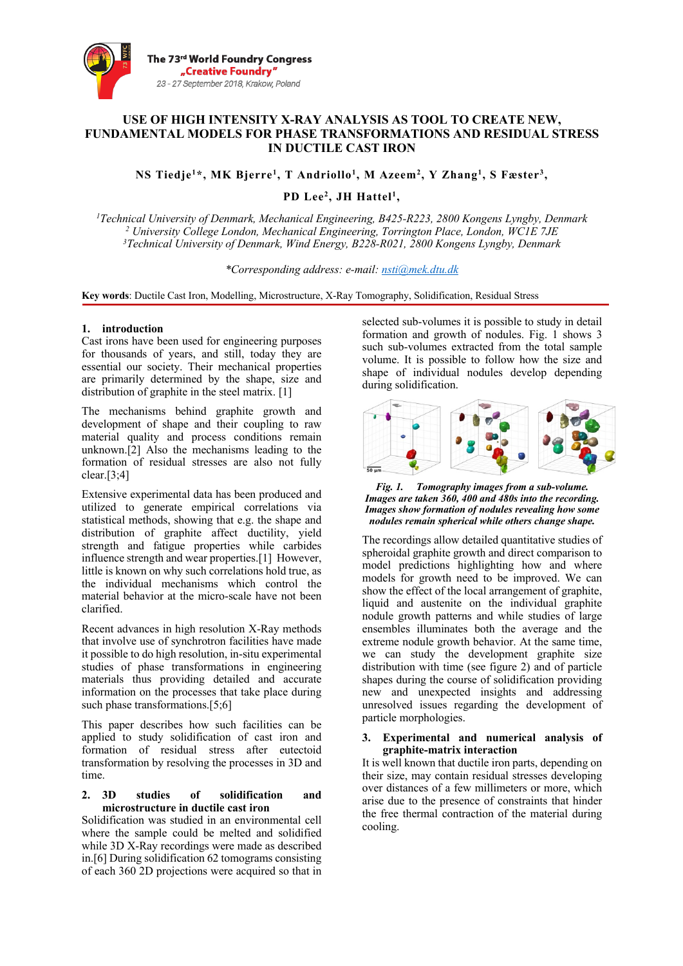

# **USE OF HIGH INTENSITY X-RAY ANALYSIS AS TOOL TO CREATE NEW, FUNDAMENTAL MODELS FOR PHASE TRANSFORMATIONS AND RESIDUAL STRESS IN DUCTILE CAST IRON**

**NS Tiedje1\*, MK Bjerre1, T Andriollo1, M Azeem2, Y Zhang1, S Fæster3,** 

**PD Lee2, JH Hattel1,**

*1Technical University of Denmark, Mechanical Engineering, B425-R223, 2800 Kongens Lyngby, Denmark <sup>2</sup> University College London, Mechanical Engineering, Torrington Place, London, WC1E 7JE 3Technical University of Denmark, Wind Energy, B228-R021, 2800 Kongens Lyngby, Denmark*

*\*Corresponding address: e-mail: nsti@mek.dtu.dk*

**Key words**: Ductile Cast Iron, Modelling, Microstructure, X-Ray Tomography, Solidification, Residual Stress

## **1. introduction**

Cast irons have been used for engineering purposes for thousands of years, and still, today they are essential our society. Their mechanical properties are primarily determined by the shape, size and distribution of graphite in the steel matrix. [1]

The mechanisms behind graphite growth and development of shape and their coupling to raw material quality and process conditions remain unknown.[2] Also the mechanisms leading to the formation of residual stresses are also not fully clear.[3;4]

Extensive experimental data has been produced and utilized to generate empirical correlations via statistical methods, showing that e.g. the shape and distribution of graphite affect ductility, yield strength and fatigue properties while carbides influence strength and wear properties.[1] However, little is known on why such correlations hold true, as the individual mechanisms which control the material behavior at the micro-scale have not been clarified.

Recent advances in high resolution X-Ray methods that involve use of synchrotron facilities have made it possible to do high resolution, in-situ experimental studies of phase transformations in engineering materials thus providing detailed and accurate information on the processes that take place during such phase transformations.[5;6]

This paper describes how such facilities can be applied to study solidification of cast iron and formation of residual stress after eutectoid transformation by resolving the processes in 3D and time.

### **2. 3D studies of solidification and microstructure in ductile cast iron**

Solidification was studied in an environmental cell where the sample could be melted and solidified while 3D X-Ray recordings were made as described in.[6] During solidification 62 tomograms consisting of each 360 2D projections were acquired so that in

selected sub-volumes it is possible to study in detail formation and growth of nodules. Fig. 1 shows 3 such sub-volumes extracted from the total sample volume. It is possible to follow how the size and shape of individual nodules develop depending during solidification.



*Fig. 1. Tomography images from a sub-volume. Images are taken 360, 400 and 480s into the recording. Images show formation of nodules revealing how some nodules remain spherical while others change shape.*

The recordings allow detailed quantitative studies of spheroidal graphite growth and direct comparison to model predictions highlighting how and where models for growth need to be improved. We can show the effect of the local arrangement of graphite, liquid and austenite on the individual graphite nodule growth patterns and while studies of large ensembles illuminates both the average and the extreme nodule growth behavior. At the same time, we can study the development graphite size distribution with time (see figure 2) and of particle shapes during the course of solidification providing new and unexpected insights and addressing unresolved issues regarding the development of particle morphologies.

### **3. Experimental and numerical analysis of graphite-matrix interaction**

It is well known that ductile iron parts, depending on their size, may contain residual stresses developing over distances of a few millimeters or more, which arise due to the presence of constraints that hinder the free thermal contraction of the material during cooling.